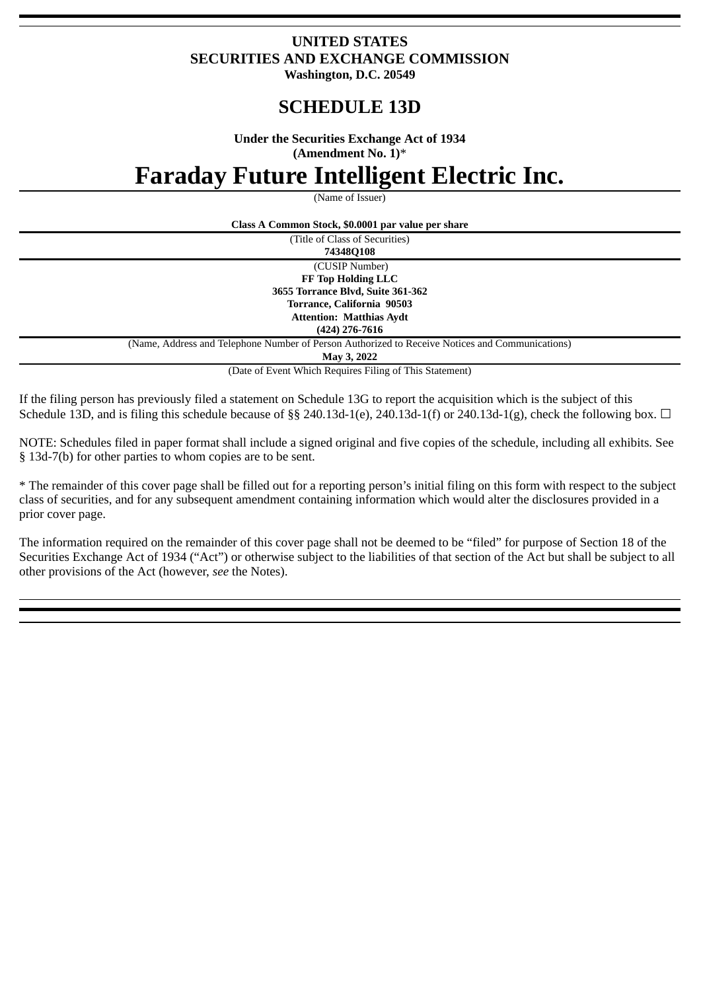## **UNITED STATES SECURITIES AND EXCHANGE COMMISSION Washington, D.C. 20549**

**SCHEDULE 13D**

**Under the Securities Exchange Act of 1934**

**(Amendment No. 1)**\*

**Faraday Future Intelligent Electric Inc.**

(Name of Issuer)

| Class A Common Stock, \$0.0001 par value per share                                              |  |  |  |
|-------------------------------------------------------------------------------------------------|--|--|--|
| (Title of Class of Securities)                                                                  |  |  |  |
| 74348Q108                                                                                       |  |  |  |
| (CUSIP Number)                                                                                  |  |  |  |
| FF Top Holding LLC                                                                              |  |  |  |
| 3655 Torrance Blvd, Suite 361-362                                                               |  |  |  |
| Torrance, California 90503                                                                      |  |  |  |
| <b>Attention: Matthias Aydt</b>                                                                 |  |  |  |
| $(424)$ 276-7616                                                                                |  |  |  |
| (Name, Address and Telephone Number of Person Authorized to Receive Notices and Communications) |  |  |  |
| May 3, 2022                                                                                     |  |  |  |
| (Date of Event Which Requires Filing of This Statement)                                         |  |  |  |

If the filing person has previously filed a statement on Schedule 13G to report the acquisition which is the subject of this Schedule 13D, and is filing this schedule because of §§ 240.13d-1(e), 240.13d-1(f) or 240.13d-1(g), check the following box.  $\Box$ 

NOTE: Schedules filed in paper format shall include a signed original and five copies of the schedule, including all exhibits. See § 13d-7(b) for other parties to whom copies are to be sent.

\* The remainder of this cover page shall be filled out for a reporting person's initial filing on this form with respect to the subject class of securities, and for any subsequent amendment containing information which would alter the disclosures provided in a prior cover page.

The information required on the remainder of this cover page shall not be deemed to be "filed" for purpose of Section 18 of the Securities Exchange Act of 1934 ("Act") or otherwise subject to the liabilities of that section of the Act but shall be subject to all other provisions of the Act (however, *see* the Notes).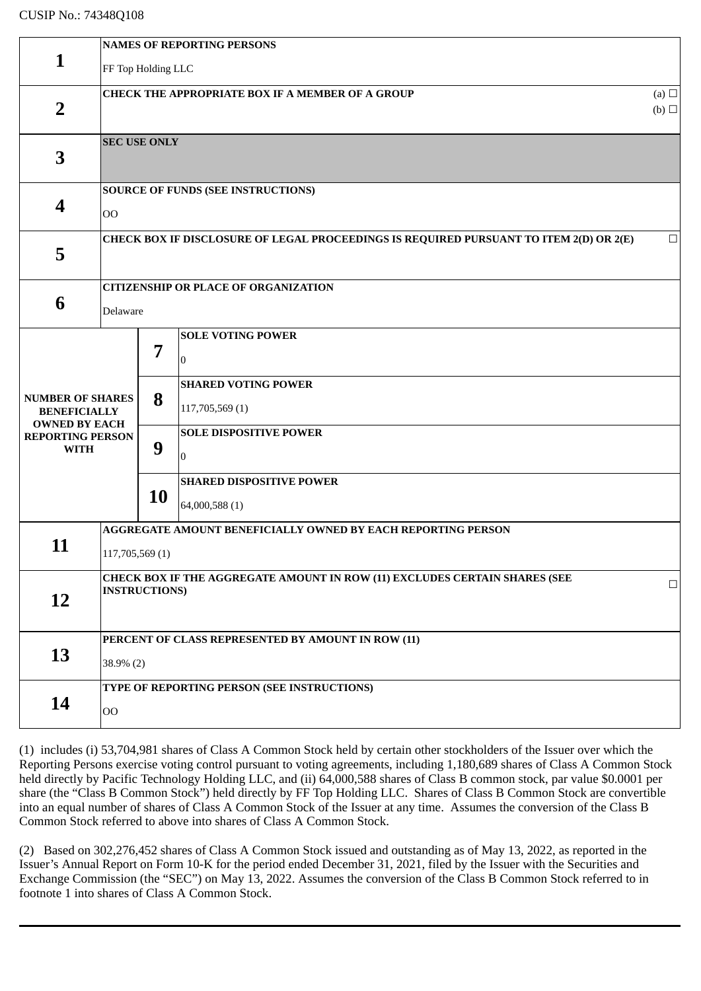|                                                                                                                  | <b>NAMES OF REPORTING PERSONS</b>                                                                  |                          |                                                                                                                                                                             |        |  |  |  |
|------------------------------------------------------------------------------------------------------------------|----------------------------------------------------------------------------------------------------|--------------------------|-----------------------------------------------------------------------------------------------------------------------------------------------------------------------------|--------|--|--|--|
| $\mathbf{1}$                                                                                                     | FF Top Holding LLC                                                                                 |                          |                                                                                                                                                                             |        |  |  |  |
| $\overline{2}$                                                                                                   | <b>CHECK THE APPROPRIATE BOX IF A MEMBER OF A GROUP</b><br>(a) $\Box$<br>$(b)$ $\square$           |                          |                                                                                                                                                                             |        |  |  |  |
| $\overline{\mathbf{3}}$                                                                                          | <b>SEC USE ONLY</b>                                                                                |                          |                                                                                                                                                                             |        |  |  |  |
| 4                                                                                                                | <b>SOURCE OF FUNDS (SEE INSTRUCTIONS)</b><br>$_{\rm OO}$                                           |                          |                                                                                                                                                                             |        |  |  |  |
| 5                                                                                                                | CHECK BOX IF DISCLOSURE OF LEGAL PROCEEDINGS IS REQUIRED PURSUANT TO ITEM 2(D) OR 2(E)<br>$\Box$   |                          |                                                                                                                                                                             |        |  |  |  |
| 6                                                                                                                | <b>CITIZENSHIP OR PLACE OF ORGANIZATION</b><br>Delaware                                            |                          |                                                                                                                                                                             |        |  |  |  |
| <b>NUMBER OF SHARES</b><br><b>BENEFICIALLY</b><br><b>OWNED BY EACH</b><br><b>REPORTING PERSON</b><br><b>WITH</b> |                                                                                                    | 7<br>8<br>9<br><b>10</b> | <b>SOLE VOTING POWER</b><br>$\Omega$<br><b>SHARED VOTING POWER</b><br>117,705,569 (1)<br><b>SOLE DISPOSITIVE POWER</b><br>$\overline{0}$<br><b>SHARED DISPOSITIVE POWER</b> |        |  |  |  |
| 64,000,588 (1)<br>11<br>117,705,569 (1)                                                                          |                                                                                                    |                          | AGGREGATE AMOUNT BENEFICIALLY OWNED BY EACH REPORTING PERSON                                                                                                                |        |  |  |  |
| 12                                                                                                               | CHECK BOX IF THE AGGREGATE AMOUNT IN ROW (11) EXCLUDES CERTAIN SHARES (SEE<br><b>INSTRUCTIONS)</b> |                          |                                                                                                                                                                             | $\Box$ |  |  |  |
| 13                                                                                                               | PERCENT OF CLASS REPRESENTED BY AMOUNT IN ROW (11)<br>$38.9\%$ (2)                                 |                          |                                                                                                                                                                             |        |  |  |  |
| 14                                                                                                               | TYPE OF REPORTING PERSON (SEE INSTRUCTIONS)<br>$_{\rm OO}$                                         |                          |                                                                                                                                                                             |        |  |  |  |

(1) includes (i) 53,704,981 shares of Class A Common Stock held by certain other stockholders of the Issuer over which the Reporting Persons exercise voting control pursuant to voting agreements, including 1,180,689 shares of Class A Common Stock held directly by Pacific Technology Holding LLC, and (ii) 64,000,588 shares of Class B common stock, par value \$0.0001 per share (the "Class B Common Stock") held directly by FF Top Holding LLC. Shares of Class B Common Stock are convertible into an equal number of shares of Class A Common Stock of the Issuer at any time. Assumes the conversion of the Class B Common Stock referred to above into shares of Class A Common Stock.

(2) Based on 302,276,452 shares of Class A Common Stock issued and outstanding as of May 13, 2022, as reported in the Issuer's Annual Report on Form 10-K for the period ended December 31, 2021, filed by the Issuer with the Securities and Exchange Commission (the "SEC") on May 13, 2022. Assumes the conversion of the Class B Common Stock referred to in footnote 1 into shares of Class A Common Stock.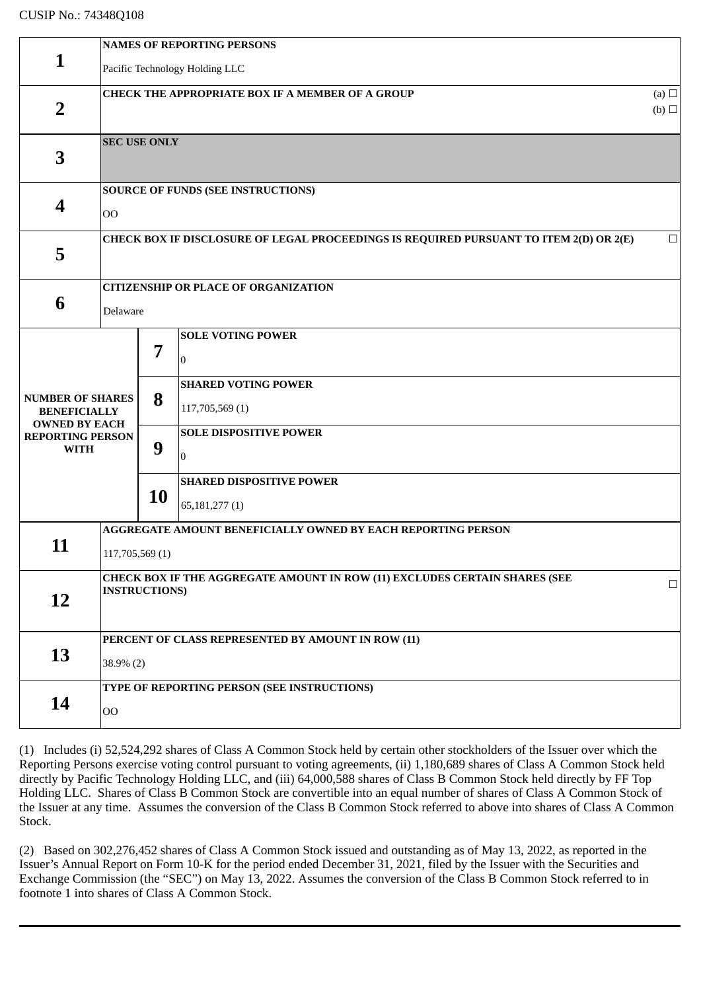|                                                                                                                  | <b>NAMES OF REPORTING PERSONS</b>                                                                  |             |                                                                                                                       |        |  |  |
|------------------------------------------------------------------------------------------------------------------|----------------------------------------------------------------------------------------------------|-------------|-----------------------------------------------------------------------------------------------------------------------|--------|--|--|
| $\mathbf{1}$                                                                                                     | Pacific Technology Holding LLC                                                                     |             |                                                                                                                       |        |  |  |
| $\overline{2}$                                                                                                   | <b>CHECK THE APPROPRIATE BOX IF A MEMBER OF A GROUP</b><br>(a) $\Box$<br>$(b)$ $\square$           |             |                                                                                                                       |        |  |  |
| 3                                                                                                                | <b>SEC USE ONLY</b>                                                                                |             |                                                                                                                       |        |  |  |
| 4                                                                                                                | <b>SOURCE OF FUNDS (SEE INSTRUCTIONS)</b><br>O <sub>O</sub>                                        |             |                                                                                                                       |        |  |  |
| 5                                                                                                                | CHECK BOX IF DISCLOSURE OF LEGAL PROCEEDINGS IS REQUIRED PURSUANT TO ITEM 2(D) OR 2(E)<br>$\Box$   |             |                                                                                                                       |        |  |  |
|                                                                                                                  |                                                                                                    |             | <b>CITIZENSHIP OR PLACE OF ORGANIZATION</b>                                                                           |        |  |  |
| 6                                                                                                                | Delaware                                                                                           |             |                                                                                                                       |        |  |  |
| <b>NUMBER OF SHARES</b><br><b>BENEFICIALLY</b><br><b>OWNED BY EACH</b><br><b>REPORTING PERSON</b><br><b>WITH</b> |                                                                                                    | 7<br>8<br>9 | <b>SOLE VOTING POWER</b><br>10<br><b>SHARED VOTING POWER</b><br>117,705,569 (1)<br><b>SOLE DISPOSITIVE POWER</b><br>0 |        |  |  |
|                                                                                                                  |                                                                                                    | <b>10</b>   | <b>SHARED DISPOSITIVE POWER</b><br>65,181,277(1)                                                                      |        |  |  |
| 11                                                                                                               | <b>AGGREGATE AMOUNT BENEFICIALLY OWNED BY EACH REPORTING PERSON</b><br>117,705,569 (1)             |             |                                                                                                                       |        |  |  |
| 12                                                                                                               | CHECK BOX IF THE AGGREGATE AMOUNT IN ROW (11) EXCLUDES CERTAIN SHARES (SEE<br><b>INSTRUCTIONS)</b> |             |                                                                                                                       | $\Box$ |  |  |
| 13                                                                                                               | PERCENT OF CLASS REPRESENTED BY AMOUNT IN ROW (11)<br>38.9% (2)                                    |             |                                                                                                                       |        |  |  |
| 14                                                                                                               | TYPE OF REPORTING PERSON (SEE INSTRUCTIONS)<br>$_{\rm OO}$                                         |             |                                                                                                                       |        |  |  |

(1) Includes (i) 52,524,292 shares of Class A Common Stock held by certain other stockholders of the Issuer over which the Reporting Persons exercise voting control pursuant to voting agreements, (ii) 1,180,689 shares of Class A Common Stock held directly by Pacific Technology Holding LLC, and (iii) 64,000,588 shares of Class B Common Stock held directly by FF Top Holding LLC. Shares of Class B Common Stock are convertible into an equal number of shares of Class A Common Stock of the Issuer at any time. Assumes the conversion of the Class B Common Stock referred to above into shares of Class A Common Stock.

(2) Based on 302,276,452 shares of Class A Common Stock issued and outstanding as of May 13, 2022, as reported in the Issuer's Annual Report on Form 10-K for the period ended December 31, 2021, filed by the Issuer with the Securities and Exchange Commission (the "SEC") on May 13, 2022. Assumes the conversion of the Class B Common Stock referred to in footnote 1 into shares of Class A Common Stock.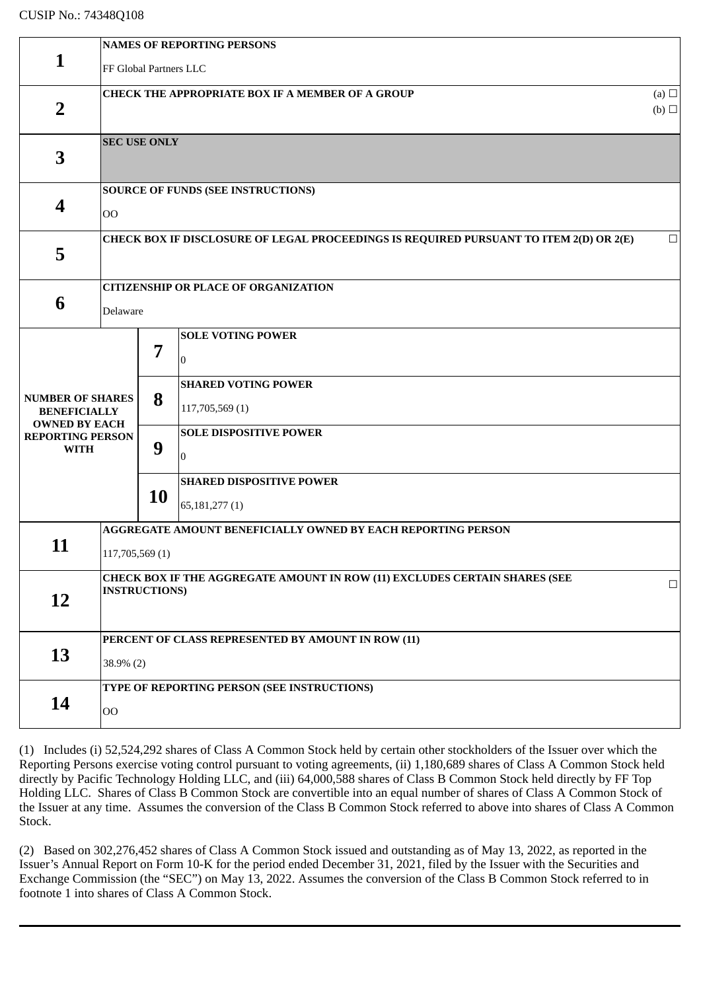|                                                                                                                  | <b>NAMES OF REPORTING PERSONS</b>                                                                  |                                                                                                                                                                                                                           |  |        |  |  |
|------------------------------------------------------------------------------------------------------------------|----------------------------------------------------------------------------------------------------|---------------------------------------------------------------------------------------------------------------------------------------------------------------------------------------------------------------------------|--|--------|--|--|
| $\mathbf{1}$                                                                                                     | FF Global Partners LLC                                                                             |                                                                                                                                                                                                                           |  |        |  |  |
| $\overline{2}$                                                                                                   | <b>CHECK THE APPROPRIATE BOX IF A MEMBER OF A GROUP</b><br>(a) $\Box$<br>$(b)$ $\square$           |                                                                                                                                                                                                                           |  |        |  |  |
| 3                                                                                                                | <b>SEC USE ONLY</b>                                                                                |                                                                                                                                                                                                                           |  |        |  |  |
| 4                                                                                                                | <b>SOURCE OF FUNDS (SEE INSTRUCTIONS)</b><br>$_{\rm OO}$                                           |                                                                                                                                                                                                                           |  |        |  |  |
| 5                                                                                                                | CHECK BOX IF DISCLOSURE OF LEGAL PROCEEDINGS IS REQUIRED PURSUANT TO ITEM 2(D) OR 2(E)<br>$\Box$   |                                                                                                                                                                                                                           |  |        |  |  |
| 6                                                                                                                | <b>CITIZENSHIP OR PLACE OF ORGANIZATION</b><br>Delaware                                            |                                                                                                                                                                                                                           |  |        |  |  |
| <b>NUMBER OF SHARES</b><br><b>BENEFICIALLY</b><br><b>OWNED BY EACH</b><br><b>REPORTING PERSON</b><br><b>WITH</b> |                                                                                                    | <b>SOLE VOTING POWER</b><br>7<br>$\theta$<br><b>SHARED VOTING POWER</b><br>8<br>117,705,569 (1)<br><b>SOLE DISPOSITIVE POWER</b><br>9<br>$\overline{0}$<br><b>SHARED DISPOSITIVE POWER</b><br><b>10</b><br>65,181,277 (1) |  |        |  |  |
| 11                                                                                                               | AGGREGATE AMOUNT BENEFICIALLY OWNED BY EACH REPORTING PERSON<br>117,705,569 (1)                    |                                                                                                                                                                                                                           |  |        |  |  |
| 12                                                                                                               | CHECK BOX IF THE AGGREGATE AMOUNT IN ROW (11) EXCLUDES CERTAIN SHARES (SEE<br><b>INSTRUCTIONS)</b> |                                                                                                                                                                                                                           |  | $\Box$ |  |  |
| 13                                                                                                               | PERCENT OF CLASS REPRESENTED BY AMOUNT IN ROW (11)<br>$38.9\%$ (2)                                 |                                                                                                                                                                                                                           |  |        |  |  |
| 14                                                                                                               | TYPE OF REPORTING PERSON (SEE INSTRUCTIONS)<br>$00\,$                                              |                                                                                                                                                                                                                           |  |        |  |  |

(1) Includes (i) 52,524,292 shares of Class A Common Stock held by certain other stockholders of the Issuer over which the Reporting Persons exercise voting control pursuant to voting agreements, (ii) 1,180,689 shares of Class A Common Stock held directly by Pacific Technology Holding LLC, and (iii) 64,000,588 shares of Class B Common Stock held directly by FF Top Holding LLC. Shares of Class B Common Stock are convertible into an equal number of shares of Class A Common Stock of the Issuer at any time. Assumes the conversion of the Class B Common Stock referred to above into shares of Class A Common Stock.

(2) Based on 302,276,452 shares of Class A Common Stock issued and outstanding as of May 13, 2022, as reported in the Issuer's Annual Report on Form 10-K for the period ended December 31, 2021, filed by the Issuer with the Securities and Exchange Commission (the "SEC") on May 13, 2022. Assumes the conversion of the Class B Common Stock referred to in footnote 1 into shares of Class A Common Stock.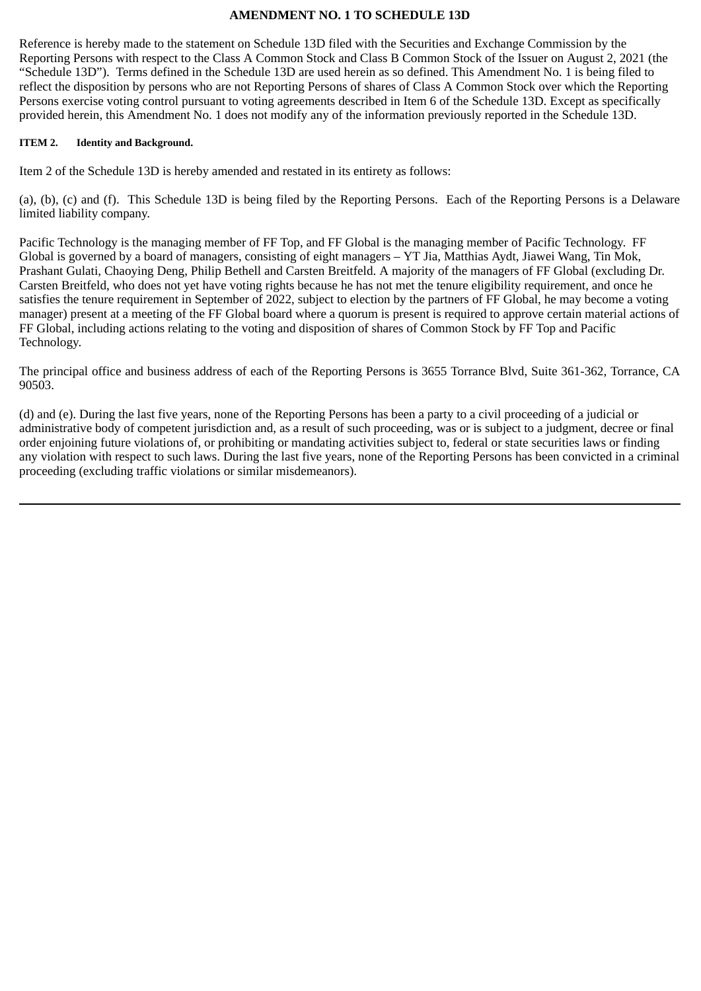### **AMENDMENT NO. 1 TO SCHEDULE 13D**

Reference is hereby made to the statement on Schedule 13D filed with the Securities and Exchange Commission by the Reporting Persons with respect to the Class A Common Stock and Class B Common Stock of the Issuer on August 2, 2021 (the "Schedule 13D"). Terms defined in the Schedule 13D are used herein as so defined. This Amendment No. 1 is being filed to reflect the disposition by persons who are not Reporting Persons of shares of Class A Common Stock over which the Reporting Persons exercise voting control pursuant to voting agreements described in Item 6 of the Schedule 13D. Except as specifically provided herein, this Amendment No. 1 does not modify any of the information previously reported in the Schedule 13D.

#### **ITEM 2. Identity and Background.**

Item 2 of the Schedule 13D is hereby amended and restated in its entirety as follows:

(a), (b), (c) and (f). This Schedule 13D is being filed by the Reporting Persons. Each of the Reporting Persons is a Delaware limited liability company.

Pacific Technology is the managing member of FF Top, and FF Global is the managing member of Pacific Technology. FF Global is governed by a board of managers, consisting of eight managers – YT Jia, Matthias Aydt, Jiawei Wang, Tin Mok, Prashant Gulati, Chaoying Deng, Philip Bethell and Carsten Breitfeld. A majority of the managers of FF Global (excluding Dr. Carsten Breitfeld, who does not yet have voting rights because he has not met the tenure eligibility requirement, and once he satisfies the tenure requirement in September of 2022, subject to election by the partners of FF Global, he may become a voting manager) present at a meeting of the FF Global board where a quorum is present is required to approve certain material actions of FF Global, including actions relating to the voting and disposition of shares of Common Stock by FF Top and Pacific Technology.

The principal office and business address of each of the Reporting Persons is 3655 Torrance Blvd, Suite 361-362, Torrance, CA 90503.

(d) and (e). During the last five years, none of the Reporting Persons has been a party to a civil proceeding of a judicial or administrative body of competent jurisdiction and, as a result of such proceeding, was or is subject to a judgment, decree or final order enjoining future violations of, or prohibiting or mandating activities subject to, federal or state securities laws or finding any violation with respect to such laws. During the last five years, none of the Reporting Persons has been convicted in a criminal proceeding (excluding traffic violations or similar misdemeanors).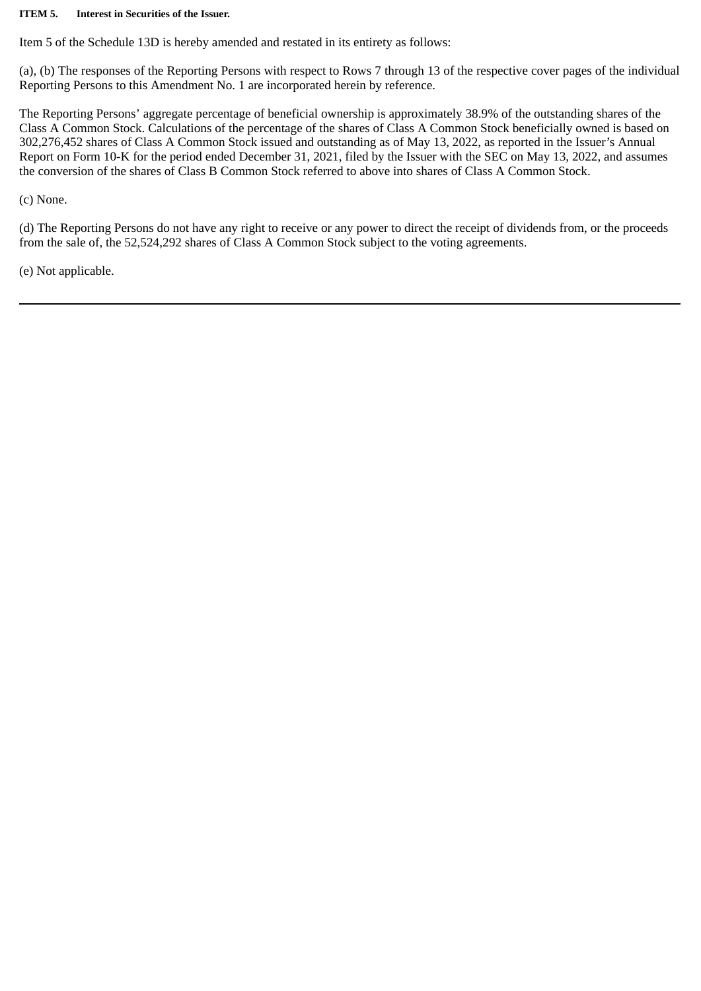#### **ITEM 5. Interest in Securities of the Issuer.**

Item 5 of the Schedule 13D is hereby amended and restated in its entirety as follows:

(a), (b) The responses of the Reporting Persons with respect to Rows 7 through 13 of the respective cover pages of the individual Reporting Persons to this Amendment No. 1 are incorporated herein by reference.

The Reporting Persons' aggregate percentage of beneficial ownership is approximately 38.9% of the outstanding shares of the Class A Common Stock. Calculations of the percentage of the shares of Class A Common Stock beneficially owned is based on 302,276,452 shares of Class A Common Stock issued and outstanding as of May 13, 2022, as reported in the Issuer's Annual Report on Form 10-K for the period ended December 31, 2021, filed by the Issuer with the SEC on May 13, 2022, and assumes the conversion of the shares of Class B Common Stock referred to above into shares of Class A Common Stock.

(c) None.

(d) The Reporting Persons do not have any right to receive or any power to direct the receipt of dividends from, or the proceeds from the sale of, the 52,524,292 shares of Class A Common Stock subject to the voting agreements.

(e) Not applicable.